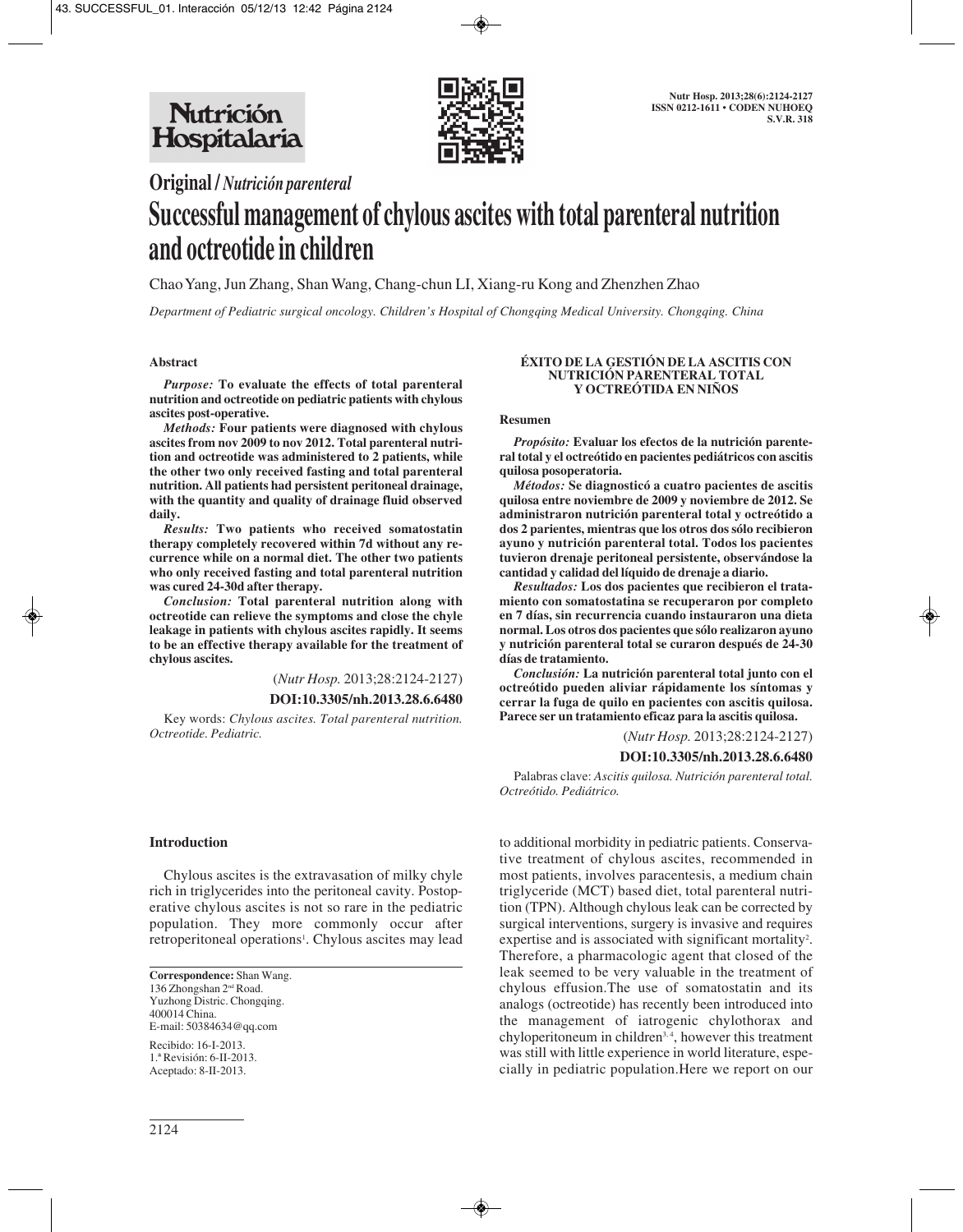

# **Original /** *Nutrición parenteral*

# **Successful management of chylous ascites with total parenteral nutrition and octreotide in children**

Chao Yang, Jun Zhang, Shan Wang, Chang-chun LI, Xiang-ru Kong and Zhenzhen Zhao

*Department of Pediatric surgical oncology. Children's Hospital of Chongqing Medical University. Chongqing. China*

## **Abstract**

*Purpose:* **To evaluate the effects of total parenteral nutrition and octreotide on pediatric patients with chylous ascites post-operative.**

*Methods:* **Four patients were diagnosed with chylous ascites from nov 2009 to nov 2012. Total parenteral nutrition and octreotide was administered to 2 patients, while the other two only received fasting and total parenteral nutrition. All patients had persistent peritoneal drainage, with the quantity and quality of drainage fluid observed daily.**

*Results:* **Two patients who received somatostatin therapy completely recovered within 7d without any re currence while on a normal diet. The other two patients who only received fasting and total parenteral nutrition was cured 24-30d after therapy.**

*Conclusion:* **Total parenteral nutrition along with octreotide can relieve the symptoms and close the chyle leakage in patients with chylous ascites rapidly. It seems to be an effective therapy available for the treatment of chylous ascites.**

(*Nutr Hosp.* 2013;28:2124-2127)

**DOI:10.3305/nh.2013.28.6.6480**

Key words: *Chylous ascites. Total parenteral nutrition. Octreotide. Pediatric.*

# **Introduction**

Chylous ascites is the extravasation of milky chyle rich in triglycerides into the peritoneal cavity. Postoperative chylous ascites is not so rare in the pediatric population. They more commonly occur after retroperitoneal operations<sup>1</sup>. Chylous ascites may lead

**Correspondence:** Shan Wang. 136 Zhongshan 2nd Road. Yuzhong Distric. Chongqing. 400014 China. E-mail: 50384634@qq.com

Recibido: 16-I-2013. 1.ª Revisión: 6-II-2013. Aceptado: 8-II-2013.

#### **ÉXITO DE LA GESTIÓN DE LA ASCITIS CON NUTRICIÓN PARENTERAL TOTAL Y OCTREÓTIDA EN NIÑOS**

#### **Resumen**

*Propósito:* **Evaluar los efectos de la nutrición parenteral total y el octreótido en pacientes pediátricos con ascitis quilosa posoperatoria.**

*Métodos:* **Se diagnosticó a cuatro pacientes de ascitis quilosa entre noviembre de 2009 y noviembre de 2012. Se administraron nutrición parenteral total y octreótido a dos 2 parientes, mientras que los otros dos sólo recibieron ayuno y nutrición parenteral total. Todos los pacientes tuvieron drenaje peritoneal persistente, observándose la cantidad y calidad del líquido de drenaje a diario.**

*Resultados:* **Los dos pacientes que recibieron el tratamiento con somatostatina se recuperaron por completo en 7 días, sin recurrencia cuando instauraron una dieta normal. Los otros dos pacientes que sólo realizaron ayuno y nutrición parenteral total se curaron después de 24-30 días de tratamiento.**

*Conclusión:* **La nutrición parenteral total junto con el octreótido pueden aliviar rápidamente los síntomas y cerrar la fuga de quilo en pacientes con ascitis quilosa. Parece ser un tratamiento eficaz para la ascitis quilosa.**

(*Nutr Hosp.* 2013;28:2124-2127)

#### **DOI:10.3305/nh.2013.28.6.6480**

Palabras clave: *Ascitis quilosa. Nutrición parenteral total. Octreótido. Pediátrico.*

to additional morbidity in pediatric patients. Conservative treatment of chylous ascites, recommended in most patients, involves paracentesis, a medium chain triglyceride (MCT) based diet, total parenteral nutrition (TPN). Although chylous leak can be corrected by surgical interventions, surgery is invasive and requires expertise and is associated with significant mortality<sup>2</sup>. Therefore, a pharmacologic agent that closed of the leak seemed to be very valuable in the treatment of chylous effusion.The use of somatostatin and its analogs (octreotide) has recently been introduced into the management of iatrogenic chylothorax and chyloperitoneum in children<sup>3, 4</sup>, however this treatment was still with little experience in world literature, especially in pediatric population.Here we report on our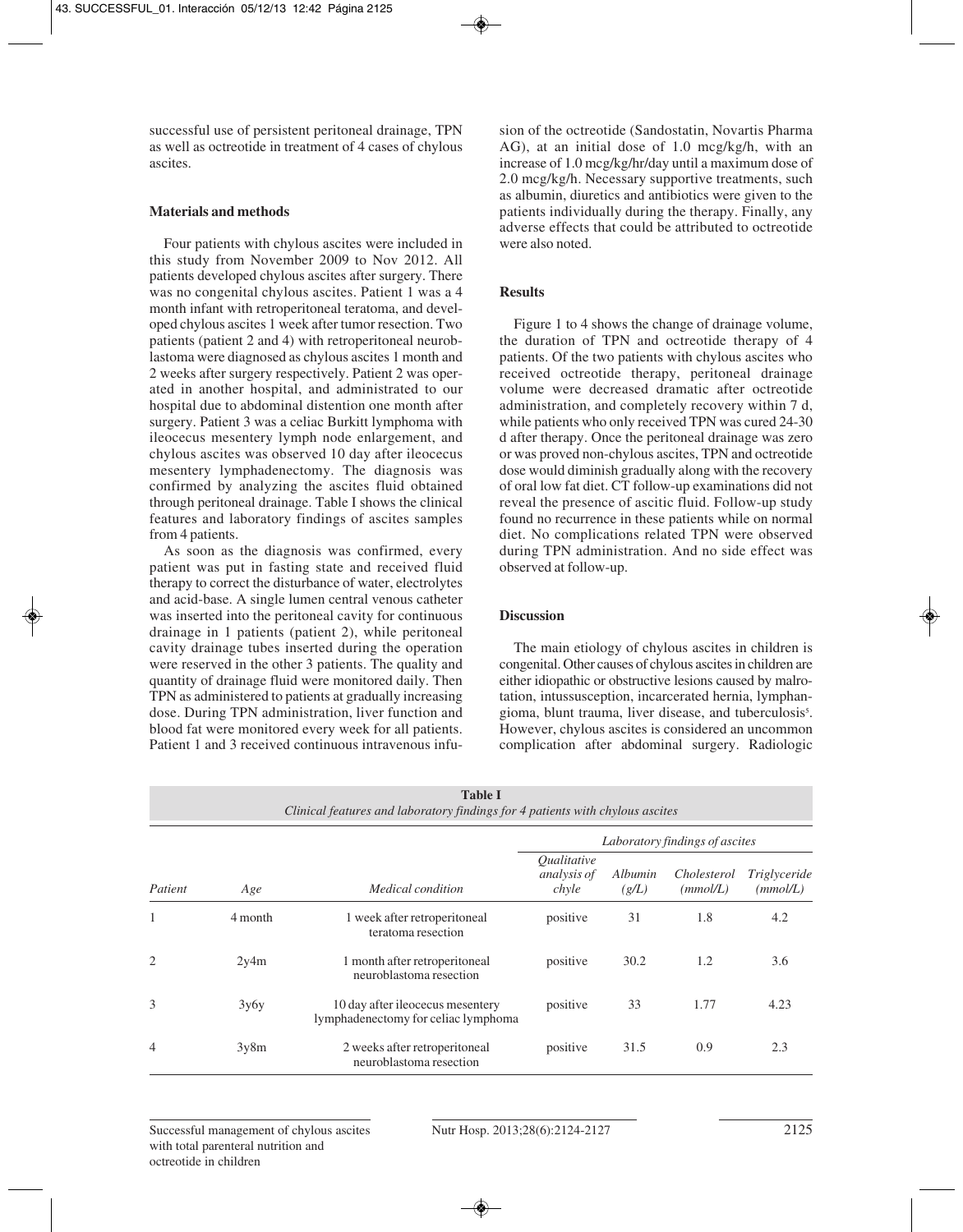successful use of persistent peritoneal drainage, TPN as well as octreotide in treatment of 4 cases of chylous ascites.

# **Materials and methods**

Four patients with chylous ascites were included in this study from November 2009 to Nov 2012. All patients developed chylous ascites after surgery. There was no congenital chylous ascites. Patient 1 was a 4 month infant with retroperitoneal teratoma, and developed chylous ascites 1 week after tumor resection. Two patients (patient 2 and 4) with retroperitoneal neuroblastoma were diagnosed as chylous ascites 1 month and 2 weeks after surgery respectively. Patient 2 was operated in another hospital, and administrated to our hospital due to abdominal distention one month after surgery. Patient 3 was a celiac Burkitt lymphoma with ileocecus mesentery lymph node enlargement, and chylous ascites was observed 10 day after ileocecus mesentery lymphadenectomy. The diagnosis was confirmed by analyzing the ascites fluid obtained through peritoneal drainage. Table I shows the clinical features and laboratory findings of ascites samples from 4 patients.

As soon as the diagnosis was confirmed, every patient was put in fasting state and received fluid therapy to correct the disturbance of water, electrolytes and acid-base. A single lumen central venous catheter was inserted into the peritoneal cavity for continuous drainage in 1 patients (patient 2), while peritoneal cavity drainage tubes inserted during the operation were reserved in the other 3 patients. The quality and quantity of drainage fluid were monitored daily. Then TPN as administered to patients at gradually increasing dose. During TPN administration, liver function and blood fat were monitored every week for all patients. Patient 1 and 3 received continuous intravenous infusion of the octreotide (Sandostatin, Novartis Pharma AG), at an initial dose of 1.0 mcg/kg/h, with an increase of 1.0 mcg/kg/hr/day until a maximum dose of 2.0 mcg/kg/h. Necessary supportive treatments, such as albumin, diuretics and antibiotics were given to the patients individually during the therapy. Finally, any adverse effects that could be attributed to octreotide were also noted.

# **Results**

Figure 1 to 4 shows the change of drainage volume, the duration of TPN and octreotide therapy of 4 patients. Of the two patients with chylous ascites who received octreotide therapy, peritoneal drainage volume were decreased dramatic after octreotide administration, and completely recovery within 7 d, while patients who only received TPN was cured 24-30 d after therapy. Once the peritoneal drainage was zero or was proved non-chylous ascites, TPN and octreotide dose would diminish gradually along with the recovery of oral low fat diet. CT follow-up examinations did not reveal the presence of ascitic fluid. Follow-up study found no recurrence in these patients while on normal diet. No complications related TPN were observed during TPN administration. And no side effect was observed at follow-up.

# **Discussion**

The main etiology of chylous ascites in children is congenital. Other causes of chylous ascites in children are either idiopathic or obstructive lesions caused by malrotation, intussusception, incarcerated hernia, lymphangioma, blunt trauma, liver disease, and tuberculosis<sup>5</sup>. However, chylous ascites is considered an uncommon complication after abdominal surgery. Radiologic

| 1 apie 1<br>Clinical features and laboratory findings for 4 patients with chylous ascites |         |                                                                         |                                                          |                  |                         |                          |
|-------------------------------------------------------------------------------------------|---------|-------------------------------------------------------------------------|----------------------------------------------------------|------------------|-------------------------|--------------------------|
| Patient                                                                                   | Age     | Medical condition                                                       | Laboratory findings of ascites                           |                  |                         |                          |
|                                                                                           |         |                                                                         | <i><u><b>Oualitative</b></u></i><br>analysis of<br>chyle | Albumin<br>(g/L) | Cholesterol<br>(mmol/L) | Triglyceride<br>(mmol/L) |
| 1                                                                                         | 4 month | 1 week after retroperitoneal<br>teratoma resection                      | positive                                                 | 31               | 1.8                     | 4.2                      |
| 2                                                                                         | 2y4m    | 1 month after retroperitoneal<br>neuroblastoma resection                | positive                                                 | 30.2             | 1.2                     | 3.6                      |
| 3                                                                                         | 3y6y    | 10 day after ileocecus mesentery<br>lymphadenectomy for celiac lymphoma | positive                                                 | 33               | 1.77                    | 4.23                     |
| 4                                                                                         | 3y8m    | 2 weeks after retroperitoneal<br>neuroblastoma resection                | positive                                                 | 31.5             | 0.9                     | 2.3                      |

**Table I**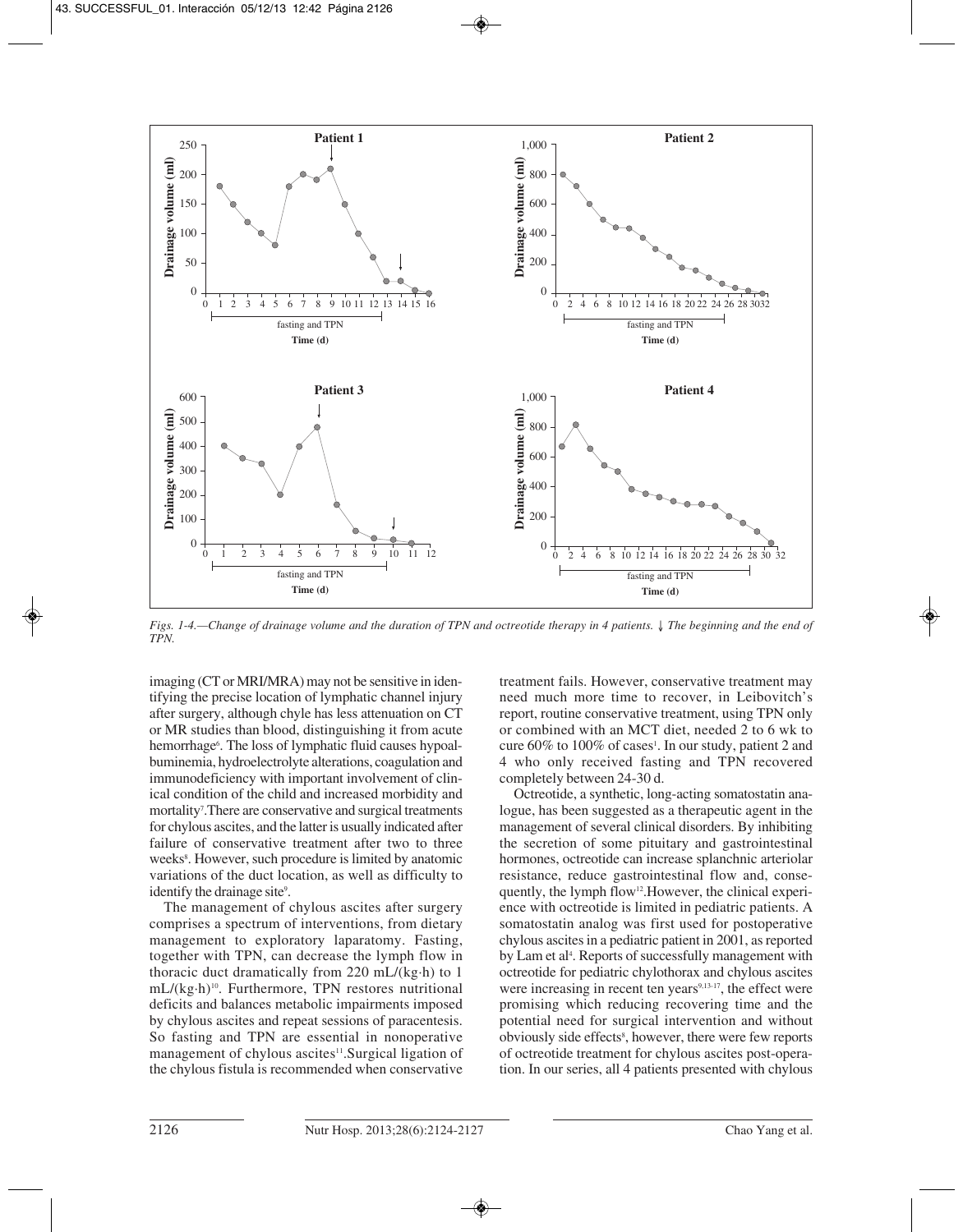

*Figs. 1-4.—Change of drainage volume and the duration of TPN and octreotide therapy in 4 patients.* ↓ *The beginning and the end of TPN.*

imaging (CT or MRI/MRA) may not be sensitive in identifying the precise location of lymphatic channel injury after surgery, although chyle has less attenuation on CT or MR studies than blood, distinguishing it from acute hemorrhage<sup>6</sup>. The loss of lymphatic fluid causes hypoalbuminemia, hydroelectrolyte alterations, coagulation and immunodeficiency with important involvement of clinical condition of the child and increased morbidity and mortality<sup>7</sup>. There are conservative and surgical treatments for chylous ascites, and the latter is usually indicated after failure of conservative treatment after two to three weeks<sup>8</sup>. However, such procedure is limited by anatomic variations of the duct location, as well as difficulty to identify the drainage site<sup>9</sup>.

The management of chylous ascites after surgery comprises a spectrum of interventions, from dietary management to exploratory laparatomy. Fasting, together with TPN, can decrease the lymph flow in thoracic duct dramatically from 220 mL/(kg·h) to 1 mL/(kg·h)10. Furthermore, TPN restores nutritional deficits and balances metabolic impairments imposed by chylous ascites and repeat sessions of paracentesis. So fasting and TPN are essential in nonoperative management of chylous ascites<sup>11</sup>. Surgical ligation of the chylous fistula is recommended when conservative

treatment fails. However, conservative treatment may need much more time to recover, in Leibovitch's report, routine conservative treatment, using TPN only or combined with an MCT diet, needed 2 to 6 wk to cure 60% to 100% of cases<sup>1</sup>. In our study, patient 2 and 4 who only received fasting and TPN recovered completely between 24-30 d.

Octreotide, a synthetic, long-acting somatostatin analogue, has been suggested as a therapeutic agent in the management of several clinical disorders. By inhibiting the secretion of some pituitary and gastrointestinal hormones, octreotide can increase splanchnic arteriolar resistance, reduce gastrointestinal flow and, consequently, the lymph flow<sup>12</sup>. However, the clinical experience with octreotide is limited in pediatric patients. A somatostatin analog was first used for postoperative chylous ascites in a pediatric patient in 2001, as reported by Lam et al<sup>4</sup>. Reports of successfully management with octreotide for pediatric chylothorax and chylous ascites were increasing in recent ten years<sup>9,13-17</sup>, the effect were promising which reducing recovering time and the potential need for surgical intervention and without obviously side effects<sup>8</sup>, however, there were few reports of octreotide treatment for chylous ascites post-operation. In our series, all 4 patients presented with chylous